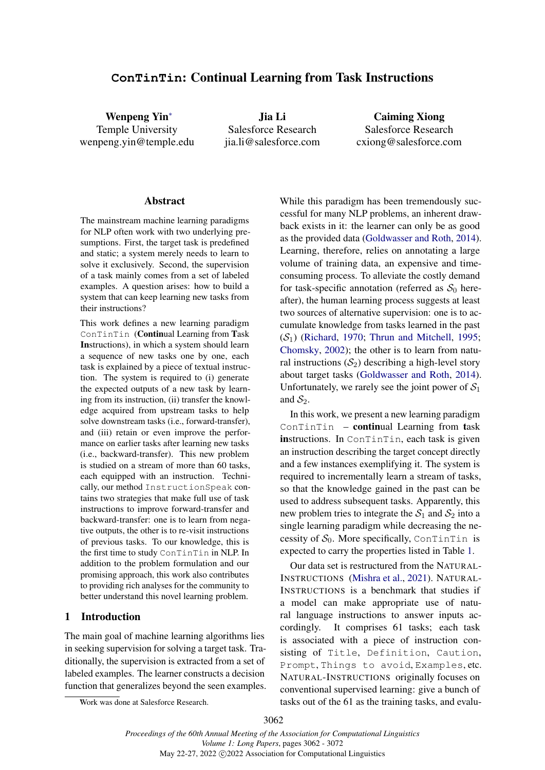# <span id="page-0-0"></span>**ConTinTin**: Continual Learning from Task Instructions

Wenpeng Yi[n](#page-0-0)<sup>∗</sup> Temple University wenpeng.yin@temple.edu

Jia Li Salesforce Research jia.li@salesforce.com

Caiming Xiong Salesforce Research cxiong@salesforce.com

#### Abstract

The mainstream machine learning paradigms for NLP often work with two underlying presumptions. First, the target task is predefined and static; a system merely needs to learn to solve it exclusively. Second, the supervision of a task mainly comes from a set of labeled examples. A question arises: how to build a system that can keep learning new tasks from their instructions?

This work defines a new learning paradigm ConTinTin (Continual Learning from Task Instructions), in which a system should learn a sequence of new tasks one by one, each task is explained by a piece of textual instruction. The system is required to (i) generate the expected outputs of a new task by learning from its instruction, (ii) transfer the knowledge acquired from upstream tasks to help solve downstream tasks (i.e., forward-transfer), and (iii) retain or even improve the performance on earlier tasks after learning new tasks (i.e., backward-transfer). This new problem is studied on a stream of more than 60 tasks, each equipped with an instruction. Technically, our method InstructionSpeak contains two strategies that make full use of task instructions to improve forward-transfer and backward-transfer: one is to learn from negative outputs, the other is to re-visit instructions of previous tasks. To our knowledge, this is the first time to study ConTinTin in NLP. In addition to the problem formulation and our promising approach, this work also contributes to providing rich analyses for the community to better understand this novel learning problem.

## 1 Introduction

The main goal of machine learning algorithms lies in seeking supervision for solving a target task. Traditionally, the supervision is extracted from a set of labeled examples. The learner constructs a decision function that generalizes beyond the seen examples. While this paradigm has been tremendously successful for many NLP problems, an inherent drawback exists in it: the learner can only be as good as the provided data [\(Goldwasser and Roth,](#page-9-0) [2014\)](#page-9-0). Learning, therefore, relies on annotating a large volume of training data, an expensive and timeconsuming process. To alleviate the costly demand for task-specific annotation (referred as  $S_0$  hereafter), the human learning process suggests at least two sources of alternative supervision: one is to accumulate knowledge from tasks learned in the past  $(S_1)$  [\(Richard,](#page-9-1) [1970;](#page-9-1) [Thrun and Mitchell,](#page-9-2) [1995;](#page-9-2) [Chomsky,](#page-8-0) [2002\)](#page-8-0); the other is to learn from natural instructions  $(S_2)$  describing a high-level story about target tasks [\(Goldwasser and Roth,](#page-9-0) [2014\)](#page-9-0). Unfortunately, we rarely see the joint power of  $S_1$ and  $S_2$ .

In this work, we present a new learning paradigm ConTinTin – continual Learning from task instructions. In ConTinTin, each task is given an instruction describing the target concept directly and a few instances exemplifying it. The system is required to incrementally learn a stream of tasks, so that the knowledge gained in the past can be used to address subsequent tasks. Apparently, this new problem tries to integrate the  $S_1$  and  $S_2$  into a single learning paradigm while decreasing the necessity of  $S_0$ . More specifically, ConTinTin is expected to carry the properties listed in Table [1.](#page-1-0)

Our data set is restructured from the NATURAL-INSTRUCTIONS [\(Mishra et al.,](#page-9-3) [2021\)](#page-9-3). NATURAL-INSTRUCTIONS is a benchmark that studies if a model can make appropriate use of natural language instructions to answer inputs accordingly. It comprises 61 tasks; each task is associated with a piece of instruction consisting of Title, Definition, Caution, Prompt, Things to avoid, Examples, etc. NATURAL-INSTRUCTIONS originally focuses on conventional supervised learning: give a bunch of tasks out of the 61 as the training tasks, and evalu-

<sup>∗</sup>Work was done at Salesforce Research.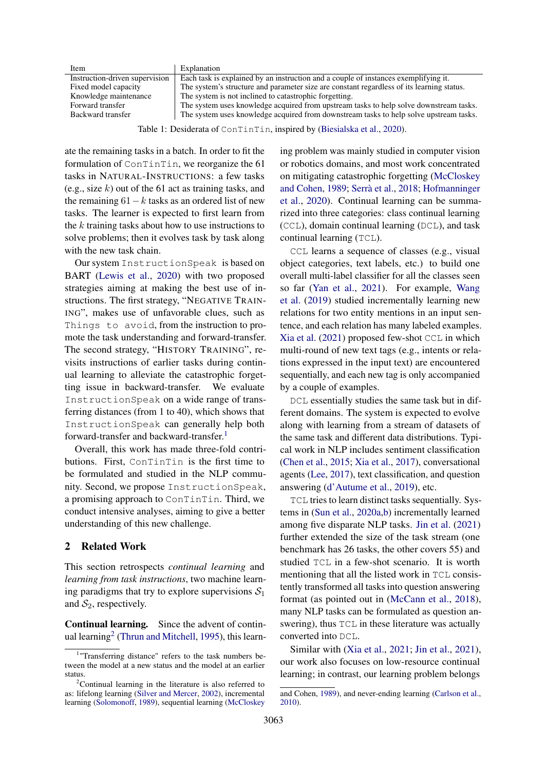<span id="page-1-0"></span>

| Item                           | Explanation                                                                               |
|--------------------------------|-------------------------------------------------------------------------------------------|
| Instruction-driven supervision | Each task is explained by an instruction and a couple of instances exemplifying it.       |
| Fixed model capacity           | The system's structure and parameter size are constant regardless of its learning status. |
| Knowledge maintenance          | The system is not inclined to catastrophic forgetting.                                    |
| Forward transfer               | The system uses knowledge acquired from upstream tasks to help solve downstream tasks.    |
| Backward transfer              | The system uses knowledge acquired from downstream tasks to help solve upstream tasks.    |
|                                |                                                                                           |

Table 1: Desiderata of ConTinTin, inspired by [\(Biesialska et al.,](#page-8-1) [2020\)](#page-8-1).

ate the remaining tasks in a batch. In order to fit the formulation of ConTinTin, we reorganize the 61 tasks in NATURAL-INSTRUCTIONS: a few tasks (e.g., size  $k$ ) out of the 61 act as training tasks, and the remaining  $61-k$  tasks as an ordered list of new tasks. The learner is expected to first learn from the  $k$  training tasks about how to use instructions to solve problems; then it evolves task by task along with the new task chain.

Our system InstructionSpeak is based on BART [\(Lewis et al.,](#page-9-4) [2020\)](#page-9-4) with two proposed strategies aiming at making the best use of instructions. The first strategy, "NEGATIVE TRAIN-ING", makes use of unfavorable clues, such as Things to avoid, from the instruction to promote the task understanding and forward-transfer. The second strategy, "HISTORY TRAINING", revisits instructions of earlier tasks during continual learning to alleviate the catastrophic forgetting issue in backward-transfer. We evaluate InstructionSpeak on a wide range of transferring distances (from 1 to 40), which shows that InstructionSpeak can generally help both forward-transfer and backward-transfer.<sup>[1](#page-1-1)</sup>

Overall, this work has made three-fold contributions. First, ConTinTin is the first time to be formulated and studied in the NLP community. Second, we propose InstructionSpeak, a promising approach to ConTinTin. Third, we conduct intensive analyses, aiming to give a better understanding of this new challenge.

## 2 Related Work

This section retrospects *continual learning* and *learning from task instructions*, two machine learning paradigms that try to explore supervisions  $S_1$ and  $S_2$ , respectively.

Continual learning. Since the advent of contin-ual learning<sup>[2](#page-1-2)</sup> [\(Thrun and Mitchell,](#page-9-2) [1995\)](#page-9-2), this learn[ing problem was mainly studied in computer vision](#page-9-7) [or robotics domains, and most work concentrated](#page-9-7) [on mitigating catastrophic forgetting \(McCloskey](#page-9-7) [and Cohen,](#page-9-7) [1989;](#page-9-7) [Serrà et al.,](#page-9-8) [2018;](#page-9-8) [Hofmanninger](#page-9-7) [et al.,](#page-9-9) [2020\). Continual learning can be summa](#page-9-7)[rized into three categories: class continual learning](#page-9-7) (CCL[\), domain continual learning \(](#page-9-7)DCL), and task [continual learning \(](#page-9-7)TCL).

CCL [learns a sequence of classes \(e.g., visual](#page-9-7) [object categories, text labels, etc.\) to build one](#page-9-7) [overall multi-label classifier for all the classes seen](#page-9-7) so far [\(Yan et al.,](#page-10-0) [2021\). For example,](#page-9-7) [Wang](#page-9-10) [et al.](#page-9-10) [\(2019\) studied incrementally learning new](#page-9-7) [relations for two entity mentions in an input sen](#page-9-7)[tence, and each relation has many labeled examples.](#page-9-7) [Xia et al.](#page-10-1) [\(2021\) proposed few-shot](#page-9-7) CCL in which [multi-round of new text tags \(e.g., intents or rela](#page-9-7)[tions expressed in the input text\) are encountered](#page-9-7) [sequentially, and each new tag is only accompanied](#page-9-7) [by a couple of examples.](#page-9-7)

DCL [essentially studies the same task but in dif](#page-9-7)[ferent domains. The system is expected to evolve](#page-9-7) [along with learning from a stream of datasets of](#page-9-7) [the same task and different data distributions. Typi](#page-9-7)[cal work in NLP includes sentiment classification](#page-9-7) [\(Chen et al.,](#page-8-2) [2015;](#page-8-2) [Xia et al.,](#page-10-2) [2017\), conversational](#page-9-7) agents [\(Lee,](#page-9-11) [2017\), text classification, and question](#page-9-7) [answering \(d'Autume et al.,](#page-9-7) [2019\)](#page-8-3), etc.

TCL [tries to learn distinct tasks sequentially. Sys](#page-9-7)tems in [\(Sun et al.,](#page-9-12) [2020a,b\) incrementally learned](#page-9-7) [among five disparate NLP tasks.](#page-9-7) [Jin et al.](#page-9-14) [\(2021\)](#page-9-14) [further extended the size of the task stream \(one](#page-9-7) [benchmark has 26 tasks, the other covers 55\) and](#page-9-7) studied TCL [in a few-shot scenario. It is worth](#page-9-7) [mentioning that all the listed work in](#page-9-7) TCL consis[tently transformed all tasks into question answering](#page-9-7) [format \(as pointed out in \(McCann et al.,](#page-9-7) [2018\)](#page-9-15), [many NLP tasks can be formulated as question an](#page-9-7)swering), thus TCL [in these literature was actually](#page-9-7) [converted into](#page-9-7) DCL.

[Similar with \(Xia et al.,](#page-9-7) [2021;](#page-10-1) [Jin et al.,](#page-9-14) [2021\)](#page-9-14), [our work also focuses on low-resource continual](#page-9-7) [learning; in contrast, our learning problem belongs](#page-9-7)

<span id="page-1-1"></span><sup>&</sup>lt;sup>1</sup>"Transferring distance" refers to the task numbers between the model at a new status and the model at an earlier status.

<span id="page-1-2"></span> $2$ Continual learning in the literature is also referred to as: lifelong learning [\(Silver and Mercer,](#page-9-5) [2002\)](#page-9-5), incremental learning [\(Solomonoff,](#page-9-6) [1989\)](#page-9-6), sequential learning [\(McCloskey](#page-9-7)

[and Cohen,](#page-9-7) [1989\)](#page-9-7), and never-ending learning [\(Carlson et al.,](#page-8-4) [2010\)](#page-8-4).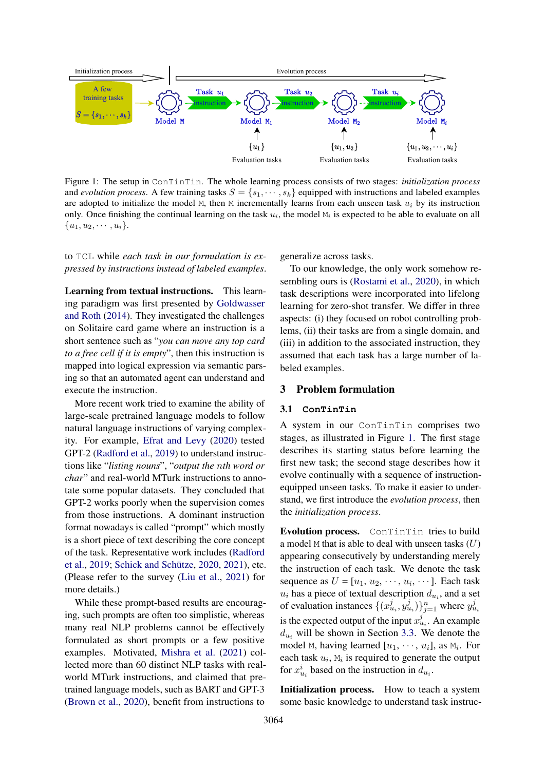<span id="page-2-0"></span>

Figure 1: The setup in ConTinTin. The whole learning process consists of two stages: *initialization process* and *evolution process*. A few training tasks  $S = \{s_1, \dots, s_k\}$  equipped with instructions and labeled examples are adopted to initialize the model M, then M incrementally learns from each unseen task  $u_i$  by its instruction only. Once finishing the continual learning on the task  $u_i$ , the model  $M_i$  is expected to be able to evaluate on all  ${u_1, u_2, \cdots, u_i}.$ 

## to TCL while *each task in our formulation is expressed by instructions instead of labeled examples*.

Learning from textual instructions. This learning paradigm was first presented by [Goldwasser](#page-9-0) [and Roth](#page-9-0) [\(2014\)](#page-9-0). They investigated the challenges on Solitaire card game where an instruction is a short sentence such as "*you can move any top card to a free cell if it is empty*", then this instruction is mapped into logical expression via semantic parsing so that an automated agent can understand and execute the instruction.

More recent work tried to examine the ability of large-scale pretrained language models to follow natural language instructions of varying complexity. For example, [Efrat and Levy](#page-8-5) [\(2020\)](#page-8-5) tested GPT-2 [\(Radford et al.,](#page-9-16) [2019\)](#page-9-16) to understand instructions like "*listing nouns*", "*output the* n*th word or char*" and real-world MTurk instructions to annotate some popular datasets. They concluded that GPT-2 works poorly when the supervision comes from those instructions. A dominant instruction format nowadays is called "prompt" which mostly is a short piece of text describing the core concept of the task. Representative work includes [\(Radford](#page-9-16) [et al.,](#page-9-16) [2019;](#page-9-16) [Schick and Schütze,](#page-9-17) [2020,](#page-9-17) [2021\)](#page-9-18), etc. (Please refer to the survey [\(Liu et al.,](#page-9-19) [2021\)](#page-9-19) for more details.)

While these prompt-based results are encouraging, such prompts are often too simplistic, whereas many real NLP problems cannot be effectively formulated as short prompts or a few positive examples. Motivated, [Mishra et al.](#page-9-3) [\(2021\)](#page-9-3) collected more than 60 distinct NLP tasks with realworld MTurk instructions, and claimed that pretrained language models, such as BART and GPT-3 [\(Brown et al.,](#page-8-6) [2020\)](#page-8-6), benefit from instructions to

generalize across tasks.

To our knowledge, the only work somehow resembling ours is [\(Rostami et al.,](#page-9-20) [2020\)](#page-9-20), in which task descriptions were incorporated into lifelong learning for zero-shot transfer. We differ in three aspects: (i) they focused on robot controlling problems, (ii) their tasks are from a single domain, and (iii) in addition to the associated instruction, they assumed that each task has a large number of labeled examples.

## 3 Problem formulation

## 3.1 **ConTinTin**

A system in our ConTinTin comprises two stages, as illustrated in Figure [1.](#page-2-0) The first stage describes its starting status before learning the first new task; the second stage describes how it evolve continually with a sequence of instructionequipped unseen tasks. To make it easier to understand, we first introduce the *evolution process*, then the *initialization process*.

Evolution process. ConTinTin tries to build a model  $M$  that is able to deal with unseen tasks  $(U)$ appearing consecutively by understanding merely the instruction of each task. We denote the task sequence as  $U = [u_1, u_2, \dots, u_i, \dots]$ . Each task  $u_i$  has a piece of textual description  $d_{u_i}$ , and a set of evaluation instances  $\{(x_{u_i}^j, y_{u_i}^j)\}_{j=1}^n$  where  $y_{u_i}^j$ is the expected output of the input  $x_{u_i}^j$ . An example  $d_{u_i}$  will be shown in Section [3.3.](#page-3-0) We denote the model M, having learned  $[u_1, \dots, u_i]$ , as  $M_i$ . For each task  $u_i$ ,  $M_i$  is required to generate the output for  $x_{u_i}^i$  based on the instruction in  $d_{u_i}$ .

Initialization process. How to teach a system some basic knowledge to understand task instruc-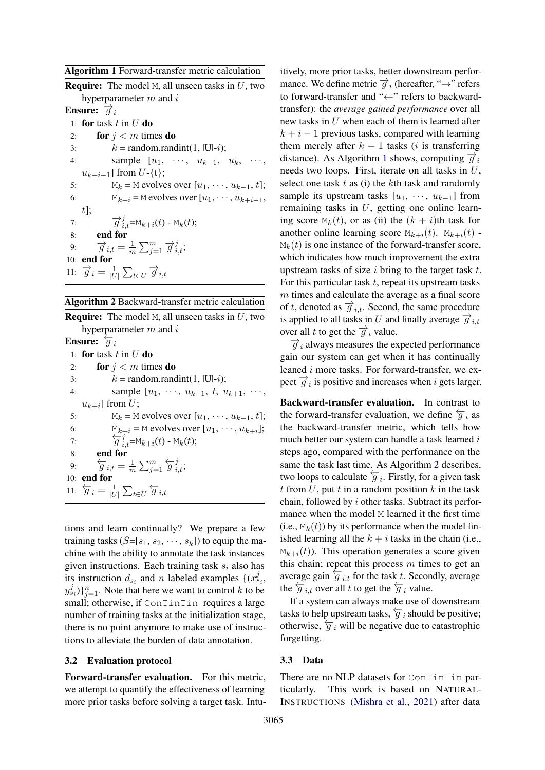<span id="page-3-1"></span>

|  |  | Algorithm 1 Forward-transfer metric calculation |  |  |  |
|--|--|-------------------------------------------------|--|--|--|
|--|--|-------------------------------------------------|--|--|--|

| <b>Require:</b> The model M, all unseen tasks in $U$ , two                                  |
|---------------------------------------------------------------------------------------------|
| hyperparameter $m$ and $i$                                                                  |
| Ensure: $\overrightarrow{q}_i$                                                              |
| 1: for task t in U do                                                                       |
| for $j < m$ times do<br>2:                                                                  |
| $k =$ random.randint(1,  U - <i>i</i> );<br>3:                                              |
| sample $[u_1, \cdots, u_{k-1}, u_k, \cdots]$<br>4:                                          |
| $u_{k+i-1}$ ] from $U$ -{t};                                                                |
| $M_k$ = M evolves over $[u_1, \dots, u_{k-1}, t]$ ;<br>5:                                   |
| $M_{k+i}$ = M evolves over $[u_1, \dots, u_{k+i-1},$<br>6:                                  |
| $t$ ];                                                                                      |
| $\overrightarrow{g}_{i,t}^j$ =M <sub>k+i</sub> (t) - M <sub>k</sub> (t);<br>7:              |
| end for<br>8:                                                                               |
| $\overrightarrow{g}_{i,t} = \frac{1}{m} \sum_{i=1}^{m} \overrightarrow{g}_{i,t}^{j};$<br>9: |
| 10: end for                                                                                 |
| 11: $\overrightarrow{g}_i = \frac{1}{ U } \sum_{t \in U} \overrightarrow{g}_{i,t}$          |
|                                                                                             |

<span id="page-3-2"></span>

| Algorithm 2 Backward-transfer metric calculation |  |  |  |  |  |  |
|--------------------------------------------------|--|--|--|--|--|--|
|--------------------------------------------------|--|--|--|--|--|--|

**Require:** The model M, all unseen tasks in  $U$ , two hyperparameter  $m$  and  $i$ Ensure:  $\overleftarrow{q}_i$ 1: for task  $t$  in  $U$  do 2: for  $j < m$  times do 3:  $k = \text{random.random}(1, |U|-i);$ 4: sample  $[u_1, \dots, u_{k-1}, t, u_{k+1}, \dots,$  $u_{k+i}$ ] from  $U$ ; 5:  $M_k = M$  evolves over  $[u_1, \dots, u_{k-1}, t]$ ; 6:  $M_{k+i} = M$  evolves over  $[u_1, \dots, u_{k+i}];$ 7:  $\overleftarrow{g}^{\alpha+r}_{i,t} = M_{k+i}(t) - M_k(t);$ 8: end for 9:  $\overleftarrow{g}_{i,t} = \frac{1}{n}$  $\frac{1}{m}\sum_{j=1}^m \overleftarrow{g}_{i,t}^j;$ 10: end for 11:  $\overleftarrow{g}_i = \frac{1}{|U|}$  $\frac{1}{|U|} \sum_{t \in U} \overleftarrow{g}_{i,t}$ 

tions and learn continually? We prepare a few training tasks  $(S=[s_1, s_2, \dots, s_k])$  to equip the machine with the ability to annotate the task instances given instructions. Each training task  $s_i$  also has its instruction  $d_{s_i}$  and n labeled examples  $\{(x_{s_i}^j,$  $(y_{s_i}^j)\}_{j=1}^n$ . Note that here we want to control k to be small; otherwise, if ConTinTin requires a large number of training tasks at the initialization stage, there is no point anymore to make use of instructions to alleviate the burden of data annotation.

## 3.2 Evaluation protocol

Forward-transfer evaluation. For this metric, we attempt to quantify the effectiveness of learning more prior tasks before solving a target task. Intuitively, more prior tasks, better downstream performance. We define metric  $\overrightarrow{g}_i$  (hereafter, " $\rightarrow$ " refers to forward-transfer and "←" refers to backwardtransfer): the *average gained performance* over all new tasks in U when each of them is learned after  $k + i - 1$  previous tasks, compared with learning them merely after  $k - 1$  tasks (*i* is transferring distance). As Algorithm [1](#page-3-1) shows, computing  $\vec{q}_i$ needs two loops. First, iterate on all tasks in U, select one task  $t$  as (i) the  $k$ th task and randomly sample its upstream tasks  $[u_1, \cdots, u_{k-1}]$  from remaining tasks in U, getting one online learning score  $M_k(t)$ , or as (ii) the  $(k + i)$ th task for another online learning score  $M_{k+i}(t)$ .  $M_{k+i}(t)$  - $M_k(t)$  is one instance of the forward-transfer score, which indicates how much improvement the extra upstream tasks of size  $i$  bring to the target task  $t$ . For this particular task  $t$ , repeat its upstream tasks m times and calculate the average as a final score of t, denoted as  $\overrightarrow{g}_{i,t}$ . Second, the same procedure is applied to all tasks in U and finally average  $\overrightarrow{g}_{i,t}$ over all t to get the  $\overrightarrow{g}_i$  value.

 $\overrightarrow{g}_i$  always measures the expected performance gain our system can get when it has continually leaned i more tasks. For forward-transfer, we expect  $\overrightarrow{g}_i$  is positive and increases when i gets larger.

Backward-transfer evaluation. In contrast to the forward-transfer evaluation, we define  $\frac{\leftarrow}{q}$  i as the backward-transfer metric, which tells how much better our system can handle a task learned i steps ago, compared with the performance on the same the task last time. As Algorithm [2](#page-3-2) describes, two loops to calculate  $\overleftarrow{g_i}$ . Firstly, for a given task t from  $U$ , put t in a random position  $k$  in the task chain, followed by i other tasks. Subtract its performance when the model M learned it the first time (i.e.,  $M_k(t)$ ) by its performance when the model finished learning all the  $k + i$  tasks in the chain (i.e.,  $M_{k+i}(t)$ ). This operation generates a score given this chain; repeat this process  $m$  times to get an average gain  $\overleftarrow{g}_{i,t}$  for the task t. Secondly, average the  $\overleftarrow{g}_{i,t}$  over all t to get the  $\overleftarrow{g}_i$  value.

If a system can always make use of downstream tasks to help upstream tasks,  $\overleftarrow{g}_i$  should be positive; otherwise,  $\overleftarrow{g}_i$  will be negative due to catastrophic forgetting.

## <span id="page-3-0"></span>3.3 Data

There are no NLP datasets for ConTinTin particularly. This work is based on NATURAL-INSTRUCTIONS [\(Mishra et al.,](#page-9-3) [2021\)](#page-9-3) after data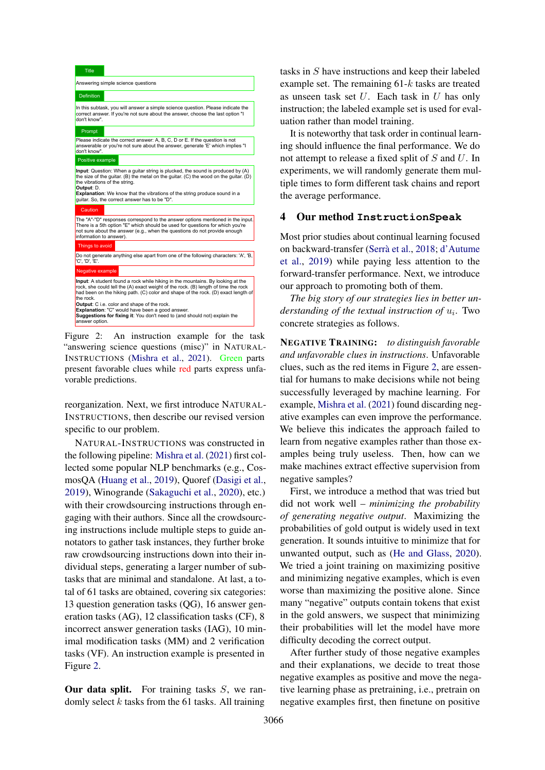<span id="page-4-0"></span>

Figure 2: An instruction example for the task "answering science questions (misc)" in NATURAL-INSTRUCTIONS [\(Mishra et al.,](#page-9-3) [2021\)](#page-9-3). Green parts present favorable clues while red parts express unfavorable predictions.

reorganization. Next, we first introduce NATURAL-INSTRUCTIONS, then describe our revised version specific to our problem.

NATURAL-INSTRUCTIONS was constructed in the following pipeline: [Mishra et al.](#page-9-3) [\(2021\)](#page-9-3) first collected some popular NLP benchmarks (e.g., CosmosQA [\(Huang et al.,](#page-9-21) [2019\)](#page-9-21), Quoref [\(Dasigi et al.,](#page-8-7) [2019\)](#page-8-7), Winogrande [\(Sakaguchi et al.,](#page-9-22) [2020\)](#page-9-22), etc.) with their crowdsourcing instructions through engaging with their authors. Since all the crowdsourcing instructions include multiple steps to guide annotators to gather task instances, they further broke raw crowdsourcing instructions down into their individual steps, generating a larger number of subtasks that are minimal and standalone. At last, a total of 61 tasks are obtained, covering six categories: 13 question generation tasks (QG), 16 answer generation tasks (AG), 12 classification tasks (CF), 8 incorrect answer generation tasks (IAG), 10 minimal modification tasks (MM) and 2 verification tasks (VF). An instruction example is presented in Figure [2.](#page-4-0)

**Our data split.** For training tasks  $S$ , we randomly select  $k$  tasks from the 61 tasks. All training

tasks in S have instructions and keep their labeled example set. The remaining  $61-k$  tasks are treated as unseen task set  $U$ . Each task in  $U$  has only instruction; the labeled example set is used for evaluation rather than model training.

It is noteworthy that task order in continual learning should influence the final performance. We do not attempt to release a fixed split of S and U. In experiments, we will randomly generate them multiple times to form different task chains and report the average performance.

## 4 Our method **InstructionSpeak**

Most prior studies about continual learning focused on backward-transfer [\(Serrà et al.,](#page-9-8) [2018;](#page-9-8) [d'Autume](#page-8-3) [et al.,](#page-8-3) [2019\)](#page-8-3) while paying less attention to the forward-transfer performance. Next, we introduce our approach to promoting both of them.

*The big story of our strategies lies in better un-* $$ concrete strategies as follows.

NEGATIVE TRAINING: *to distinguish favorable and unfavorable clues in instructions*. Unfavorable clues, such as the red items in Figure [2,](#page-4-0) are essential for humans to make decisions while not being successfully leveraged by machine learning. For example, [Mishra et al.](#page-9-3) [\(2021\)](#page-9-3) found discarding negative examples can even improve the performance. We believe this indicates the approach failed to learn from negative examples rather than those examples being truly useless. Then, how can we make machines extract effective supervision from negative samples?

First, we introduce a method that was tried but did not work well – *minimizing the probability of generating negative output*. Maximizing the probabilities of gold output is widely used in text generation. It sounds intuitive to minimize that for unwanted output, such as [\(He and Glass,](#page-9-23) [2020\)](#page-9-23). We tried a joint training on maximizing positive and minimizing negative examples, which is even worse than maximizing the positive alone. Since many "negative" outputs contain tokens that exist in the gold answers, we suspect that minimizing their probabilities will let the model have more difficulty decoding the correct output.

After further study of those negative examples and their explanations, we decide to treat those negative examples as positive and move the negative learning phase as pretraining, i.e., pretrain on negative examples first, then finetune on positive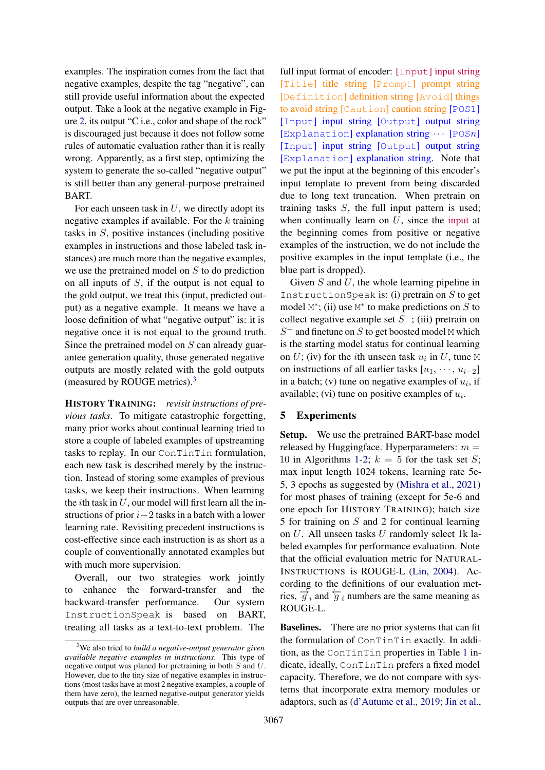examples. The inspiration comes from the fact that negative examples, despite the tag "negative", can still provide useful information about the expected output. Take a look at the negative example in Figure [2,](#page-4-0) its output "C i.e., color and shape of the rock" is discouraged just because it does not follow some rules of automatic evaluation rather than it is really wrong. Apparently, as a first step, optimizing the system to generate the so-called "negative output" is still better than any general-purpose pretrained BART.

For each unseen task in  $U$ , we directly adopt its negative examples if available. For the  $k$  training tasks in S, positive instances (including positive examples in instructions and those labeled task instances) are much more than the negative examples, we use the pretrained model on S to do prediction on all inputs of  $S$ , if the output is not equal to the gold output, we treat this (input, predicted output) as a negative example. It means we have a loose definition of what "negative output" is: it is negative once it is not equal to the ground truth. Since the pretrained model on S can already guarantee generation quality, those generated negative outputs are mostly related with the gold outputs (measured by ROUGE metrics). $3$ 

HISTORY TRAINING: *revisit instructions of previous tasks*. To mitigate catastrophic forgetting, many prior works about continual learning tried to store a couple of labeled examples of upstreaming tasks to replay. In our ConTinTin formulation, each new task is described merely by the instruction. Instead of storing some examples of previous tasks, we keep their instructions. When learning the *i*th task in  $U$ , our model will first learn all the instructions of prior  $i-2$  tasks in a batch with a lower learning rate. Revisiting precedent instructions is cost-effective since each instruction is as short as a couple of conventionally annotated examples but with much more supervision.

Overall, our two strategies work jointly to enhance the forward-transfer and the backward-transfer performance. Our system InstructionSpeak is based on BART, treating all tasks as a text-to-text problem. The

full input format of encoder: [Input] input string [Title] title string [Prompt] prompt string [Definition] definition string [Avoid] things to avoid string [Caution] caution string [POS1] [Input] input string [Output] output string [Explanation] explanation string  $\cdots$  [POSn] [Input] input string [Output] output string [Explanation] explanation string. Note that we put the input at the beginning of this encoder's input template to prevent from being discarded due to long text truncation. When pretrain on training tasks  $S$ , the full input pattern is used; when continually learn on  $U$ , since the input at the beginning comes from positive or negative examples of the instruction, we do not include the positive examples in the input template (i.e., the blue part is dropped).

Given  $S$  and  $U$ , the whole learning pipeline in InstructionSpeak is: (i) pretrain on  $S$  to get model  $M^*$ ; (ii) use  $M^*$  to make predictions on S to collect negative example set  $S^-$ ; (iii) pretrain on  $S^-$  and finetune on  $S$  to get boosted model M which is the starting model status for continual learning on  $U$ ; (iv) for the *i*th unseen task  $u_i$  in  $U$ , tune M on instructions of all earlier tasks  $[u_1, \dots, u_{i-2}]$ in a batch; (v) tune on negative examples of  $u_i$ , if available; (vi) tune on positive examples of  $u_i$ .

# 5 Experiments

Setup. We use the pretrained BART-base model released by Huggingface. Hyperparameters:  $m =$ [1](#page-3-1)0 in Algorithms 1[-2;](#page-3-2)  $k = 5$  for the task set S; max input length 1024 tokens, learning rate 5e-5, 3 epochs as suggested by [\(Mishra et al.,](#page-9-3) [2021\)](#page-9-3) for most phases of training (except for 5e-6 and one epoch for HISTORY TRAINING); batch size 5 for training on S and 2 for continual learning on U. All unseen tasks U randomly select 1k labeled examples for performance evaluation. Note that the official evaluation metric for NATURAL-INSTRUCTIONS is ROUGE-L [\(Lin,](#page-9-24) [2004\)](#page-9-24). According to the definitions of our evaluation metrics,  $\overrightarrow{g}_i$  and  $\overleftarrow{g}_i$  numbers are the same meaning as ROUGE-L.

Baselines. There are no prior systems that can fit the formulation of ConTinTin exactly. In addition, as the ConTinTin properties in Table [1](#page-1-0) indicate, ideally, ConTinTin prefers a fixed model capacity. Therefore, we do not compare with systems that incorporate extra memory modules or adaptors, such as [\(d'Autume et al.,](#page-8-3) [2019;](#page-8-3) [Jin et al.,](#page-9-14)

<span id="page-5-0"></span><sup>3</sup>We also tried to *build a negative-output generator given available negative examples in instructions*. This type of negative output was planed for pretraining in both S and U. However, due to the tiny size of negative examples in instructions (most tasks have at most 2 negative examples, a couple of them have zero), the learned negative-output generator yields outputs that are over unreasonable.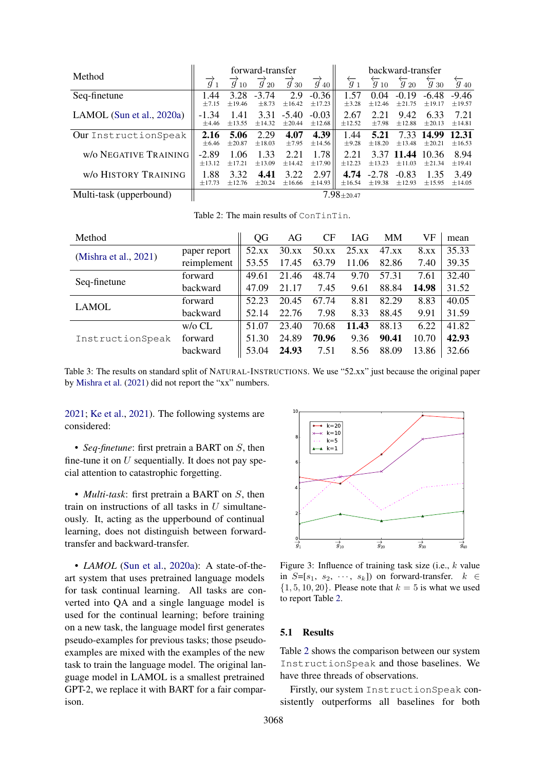<span id="page-6-0"></span>

|                              | forward-transfer       |                            |                           |                           | backward-transfer         |                       |                          |                          |                          |                          |
|------------------------------|------------------------|----------------------------|---------------------------|---------------------------|---------------------------|-----------------------|--------------------------|--------------------------|--------------------------|--------------------------|
| Method                       | $\overrightarrow{g}_1$ | $\overrightarrow{q}$<br>10 | $\overrightarrow{g}_{20}$ | $\overrightarrow{g}_{30}$ | $\overrightarrow{g}_{40}$ | $\overleftarrow{g}_1$ | $\overleftarrow{g}_{10}$ | $\overleftarrow{g}_{20}$ | $\overleftarrow{g}_{30}$ | $\overleftarrow{g}_{40}$ |
| Seq-finetune                 | 1.44                   | 3.28                       | $-3.74$                   | 2.9                       | $-0.36$                   | 1.57                  | 0.04                     | $-0.19$                  | $-6.48$                  | $-9.46$                  |
|                              | $\pm 7.15$             | ±19.46                     | $\pm 8.73$                | ±16.42                    | ±17.23                    | $\pm$ 3.28            | ±12.46                   | $\pm 21.75$              | ±19.17                   | ±19.57                   |
| LAMOL (Sun et al., $2020a$ ) | $-1, 34$               | 1.41                       | 3.31                      | $-5.40$                   | $-0.03$                   | 2.67                  | 2.21                     | 9.42                     | 6.33                     | 7.21                     |
|                              | $\pm 4.46$             | ±13.55                     | ±14.32                    | $\pm 20.44$               | ±12.68                    | ±12.52                | $\pm$ 7.98               | ±12.88                   | $\pm 20.13$              | ±14.81                   |
| Our InstructionSpeak         | 2.16                   | 5.06                       | 2.29                      | 4.07                      | 4.39                      | 1.44                  | 5.21                     | 7.33                     | 14.99                    | 12.31                    |
|                              | $\pm 6.46$             | $\pm 20.87$                | ±18.03                    | $\pm 7.95$                | ±14.56                    | $\pm$ 9.28            | $\pm 18.20$              | ±13.48                   | $\pm 20.21$              | ±16.53                   |
| <b>w/o NEGATIVE TRAINING</b> | $-2.89$                | 1.06                       | 1.33                      | 2.21                      | 1.78                      | 2.21                  | 3.37                     | 11.44                    | 10.36                    | 8.94                     |
|                              | ±13.12                 | ±17.21                     | ±13.09                    | ±14.42                    | $\pm 17.90$               | $+12.23$              | ±13.23                   | ±11.03                   | ±21.34                   | ±19.41                   |
| W/O HISTORY TRAINING         | 1.88                   | 3.32                       | 4.41                      | 3.22                      | 2.97                      | 4.74                  | $-2.78$                  | $-0.83$                  | 1.35                     | 3.49                     |
|                              | ±17.73                 | ±12.76                     | ±20.24                    | ±16.66                    | ±14.93                    | ±16.54                | $\pm$ 19.38              | ±12.93                   | ±15.95                   | ±14.05                   |
| Multi-task (upperbound)      | $7.98 \pm 20.47$       |                            |                           |                           |                           |                       |                          |                          |                          |                          |

Table 2: The main results of ConTinTin.

<span id="page-6-1"></span>

| Method                |              | QG    | AG    | CF    | IAG   | <b>MM</b> | VF    | mean  |
|-----------------------|--------------|-------|-------|-------|-------|-----------|-------|-------|
|                       | paper report | 52.xx | 30.xx | 50.xx | 25.xx | 47.xx     | 8.xx  | 35.33 |
| (Mishra et al., 2021) | reimplement  | 53.55 | 17.45 | 63.79 | 11.06 | 82.86     | 7.40  | 39.35 |
| Seq-finetune          | forward      | 49.61 | 21.46 | 48.74 | 9.70  | 57.31     | 7.61  | 32.40 |
|                       | backward     | 47.09 | 21.17 | 7.45  | 9.61  | 88.84     | 14.98 | 31.52 |
| LAMOL                 | forward      | 52.23 | 20.45 | 67.74 | 8.81  | 82.29     | 8.83  | 40.05 |
|                       | backward     | 52.14 | 22.76 | 7.98  | 8.33  | 88.45     | 9.91  | 31.59 |
| InstructionSpeak      | $w$ /0 CL    | 51.07 | 23.40 | 70.68 | 11.43 | 88.13     | 6.22  | 41.82 |
|                       | forward      | 51.30 | 24.89 | 70.96 | 9.36  | 90.41     | 10.70 | 42.93 |
|                       | backward     | 53.04 | 24.93 | 7.51  | 8.56  | 88.09     | 13.86 | 32.66 |

Table 3: The results on standard split of NATURAL-INSTRUCTIONS. We use "52.xx" just because the original paper by [Mishra et al.](#page-9-3) [\(2021\)](#page-9-3) did not report the "xx" numbers.

[2021;](#page-9-14) [Ke et al.,](#page-9-25) [2021\)](#page-9-25). The following systems are considered:

• *Seq-finetune*: first pretrain a BART on S, then fine-tune it on  $U$  sequentially. It does not pay special attention to catastrophic forgetting.

• *Multi-task*: first pretrain a BART on S, then train on instructions of all tasks in  $U$  simultaneously. It, acting as the upperbound of continual learning, does not distinguish between forwardtransfer and backward-transfer.

• *LAMOL* [\(Sun et al.,](#page-9-12) [2020a\)](#page-9-12): A state-of-theart system that uses pretrained language models for task continual learning. All tasks are converted into QA and a single language model is used for the continual learning; before training on a new task, the language model first generates pseudo-examples for previous tasks; those pseudoexamples are mixed with the examples of the new task to train the language model. The original language model in LAMOL is a smallest pretrained GPT-2, we replace it with BART for a fair comparison.

<span id="page-6-2"></span>

Figure 3: Influence of training task size (i.e.,  $k$  value in  $S=[s_1, s_2, \cdots, s_k]$  on forward-transfer.  $k \in$  $\{1, 5, 10, 20\}$ . Please note that  $k = 5$  is what we used to report Table [2.](#page-6-0)

#### 5.1 Results

Table [2](#page-6-0) shows the comparison between our system InstructionSpeak and those baselines. We have three threads of observations.

Firstly, our system InstructionSpeak consistently outperforms all baselines for both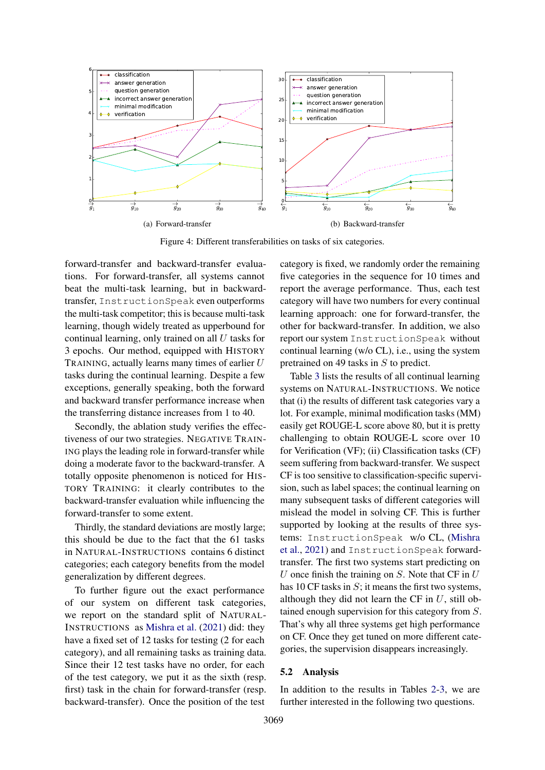<span id="page-7-0"></span>

Figure 4: Different transferabilities on tasks of six categories.

forward-transfer and backward-transfer evaluations. For forward-transfer, all systems cannot beat the multi-task learning, but in backwardtransfer, InstructionSpeak even outperforms the multi-task competitor; this is because multi-task learning, though widely treated as upperbound for continual learning, only trained on all  $U$  tasks for 3 epochs. Our method, equipped with HISTORY TRAINING, actually learns many times of earlier  $U$ tasks during the continual learning. Despite a few exceptions, generally speaking, both the forward and backward transfer performance increase when the transferring distance increases from 1 to 40.

Secondly, the ablation study verifies the effectiveness of our two strategies. NEGATIVE TRAIN-ING plays the leading role in forward-transfer while doing a moderate favor to the backward-transfer. A totally opposite phenomenon is noticed for HIS-TORY TRAINING: it clearly contributes to the backward-transfer evaluation while influencing the forward-transfer to some extent.

Thirdly, the standard deviations are mostly large; this should be due to the fact that the 61 tasks in NATURAL-INSTRUCTIONS contains 6 distinct categories; each category benefits from the model generalization by different degrees.

To further figure out the exact performance of our system on different task categories, we report on the standard split of NATURAL-INSTRUCTIONS as [Mishra et al.](#page-9-3) [\(2021\)](#page-9-3) did: they have a fixed set of 12 tasks for testing (2 for each category), and all remaining tasks as training data. Since their 12 test tasks have no order, for each of the test category, we put it as the sixth (resp. first) task in the chain for forward-transfer (resp. backward-transfer). Once the position of the test

<span id="page-7-1"></span>category is fixed, we randomly order the remaining five categories in the sequence for 10 times and report the average performance. Thus, each test category will have two numbers for every continual learning approach: one for forward-transfer, the other for backward-transfer. In addition, we also report our system InstructionSpeak without continual learning (w/o CL), i.e., using the system pretrained on 49 tasks in S to predict.

Table [3](#page-6-1) lists the results of all continual learning systems on NATURAL-INSTRUCTIONS. We notice that (i) the results of different task categories vary a lot. For example, minimal modification tasks (MM) easily get ROUGE-L score above 80, but it is pretty challenging to obtain ROUGE-L score over 10 for Verification (VF); (ii) Classification tasks (CF) seem suffering from backward-transfer. We suspect CF is too sensitive to classification-specific supervision, such as label spaces; the continual learning on many subsequent tasks of different categories will mislead the model in solving CF. This is further supported by looking at the results of three systems: InstructionSpeak w/o CL, [\(Mishra](#page-9-3) [et al.,](#page-9-3) [2021\)](#page-9-3) and InstructionSpeak forwardtransfer. The first two systems start predicting on U once finish the training on  $S$ . Note that CF in  $U$ has 10 CF tasks in  $S$ ; it means the first two systems, although they did not learn the CF in  $U$ , still obtained enough supervision for this category from S. That's why all three systems get high performance on CF. Once they get tuned on more different categories, the supervision disappears increasingly.

## 5.2 Analysis

In addition to the results in Tables [2](#page-6-0)[-3,](#page-6-1) we are further interested in the following two questions.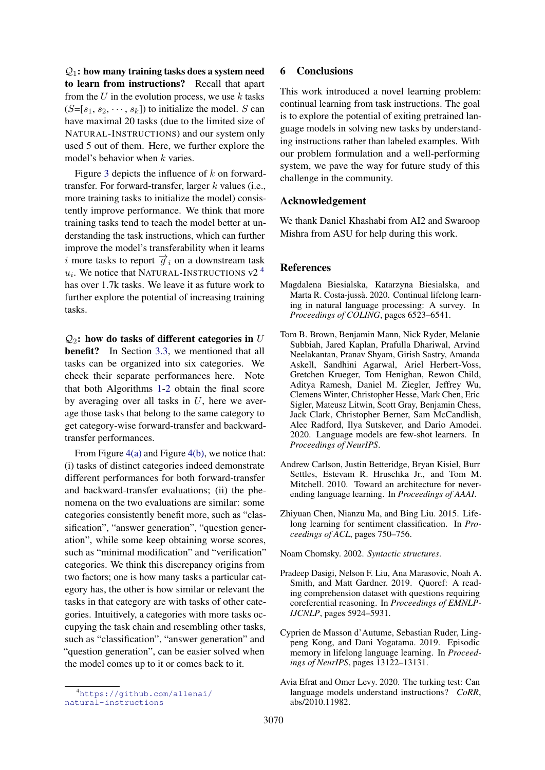$Q_1$ : how many training tasks does a system need to learn from instructions? Recall that apart from the  $U$  in the evolution process, we use  $k$  tasks  $(S=[s_1, s_2, \dots, s_k])$  to initialize the model. S can have maximal 20 tasks (due to the limited size of NATURAL-INSTRUCTIONS) and our system only used 5 out of them. Here, we further explore the model's behavior when  $k$  varies.

Figure [3](#page-6-2) depicts the influence of  $k$  on forwardtransfer. For forward-transfer, larger  $k$  values (i.e., more training tasks to initialize the model) consistently improve performance. We think that more training tasks tend to teach the model better at understanding the task instructions, which can further improve the model's transferability when it learns i more tasks to report  $\overrightarrow{g}_i$  on a downstream task  $u_i$ . We notice that NATURAL-INSTRUCTIONS v2<sup>[4](#page-8-8)</sup> has over 1.7k tasks. We leave it as future work to further explore the potential of increasing training tasks.

 $Q_2$ : how do tasks of different categories in U benefit? In Section [3.3,](#page-3-0) we mentioned that all tasks can be organized into six categories. We check their separate performances here. Note that both Algorithms [1-](#page-3-1)[2](#page-3-2) obtain the final score by averaging over all tasks in  $U$ , here we average those tasks that belong to the same category to get category-wise forward-transfer and backwardtransfer performances.

From Figure [4\(a\)](#page-7-0) and Figure [4\(b\),](#page-7-1) we notice that: (i) tasks of distinct categories indeed demonstrate different performances for both forward-transfer and backward-transfer evaluations; (ii) the phenomena on the two evaluations are similar: some categories consistently benefit more, such as "classification", "answer generation", "question generation", while some keep obtaining worse scores, such as "minimal modification" and "verification" categories. We think this discrepancy origins from two factors; one is how many tasks a particular category has, the other is how similar or relevant the tasks in that category are with tasks of other categories. Intuitively, a categories with more tasks occupying the task chain and resembling other tasks, such as "classification", "answer generation" and "question generation", can be easier solved when the model comes up to it or comes back to it.

## 6 Conclusions

This work introduced a novel learning problem: continual learning from task instructions. The goal is to explore the potential of exiting pretrained language models in solving new tasks by understanding instructions rather than labeled examples. With our problem formulation and a well-performing system, we pave the way for future study of this challenge in the community.

## Acknowledgement

We thank Daniel Khashabi from AI2 and Swaroop Mishra from ASU for help during this work.

#### **References**

- <span id="page-8-1"></span>Magdalena Biesialska, Katarzyna Biesialska, and Marta R. Costa-jussà. 2020. Continual lifelong learning in natural language processing: A survey. In *Proceedings of COLING*, pages 6523–6541.
- <span id="page-8-6"></span>Tom B. Brown, Benjamin Mann, Nick Ryder, Melanie Subbiah, Jared Kaplan, Prafulla Dhariwal, Arvind Neelakantan, Pranav Shyam, Girish Sastry, Amanda Askell, Sandhini Agarwal, Ariel Herbert-Voss, Gretchen Krueger, Tom Henighan, Rewon Child, Aditya Ramesh, Daniel M. Ziegler, Jeffrey Wu, Clemens Winter, Christopher Hesse, Mark Chen, Eric Sigler, Mateusz Litwin, Scott Gray, Benjamin Chess, Jack Clark, Christopher Berner, Sam McCandlish, Alec Radford, Ilya Sutskever, and Dario Amodei. 2020. Language models are few-shot learners. In *Proceedings of NeurIPS*.
- <span id="page-8-4"></span>Andrew Carlson, Justin Betteridge, Bryan Kisiel, Burr Settles, Estevam R. Hruschka Jr., and Tom M. Mitchell. 2010. Toward an architecture for neverending language learning. In *Proceedings of AAAI*.
- <span id="page-8-2"></span>Zhiyuan Chen, Nianzu Ma, and Bing Liu. 2015. Lifelong learning for sentiment classification. In *Proceedings of ACL*, pages 750–756.

<span id="page-8-0"></span>Noam Chomsky. 2002. *Syntactic structures*.

- <span id="page-8-7"></span>Pradeep Dasigi, Nelson F. Liu, Ana Marasovic, Noah A. Smith, and Matt Gardner. 2019. Quoref: A reading comprehension dataset with questions requiring coreferential reasoning. In *Proceedings of EMNLP-IJCNLP*, pages 5924–5931.
- <span id="page-8-3"></span>Cyprien de Masson d'Autume, Sebastian Ruder, Lingpeng Kong, and Dani Yogatama. 2019. Episodic memory in lifelong language learning. In *Proceedings of NeurIPS*, pages 13122–13131.
- <span id="page-8-5"></span>Avia Efrat and Omer Levy. 2020. The turking test: Can language models understand instructions? *CoRR*, abs/2010.11982.

<span id="page-8-8"></span><sup>4</sup>[https://github.com/allenai/](https://github.com/allenai/natural-instructions) [natural-instructions](https://github.com/allenai/natural-instructions)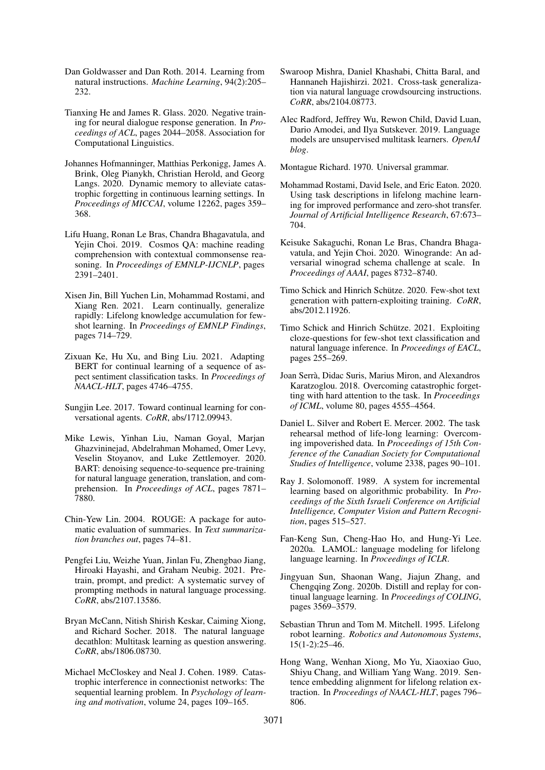- <span id="page-9-0"></span>Dan Goldwasser and Dan Roth. 2014. Learning from natural instructions. *Machine Learning*, 94(2):205– 232.
- <span id="page-9-23"></span>Tianxing He and James R. Glass. 2020. Negative training for neural dialogue response generation. In *Proceedings of ACL*, pages 2044–2058. Association for Computational Linguistics.
- <span id="page-9-9"></span>Johannes Hofmanninger, Matthias Perkonigg, James A. Brink, Oleg Pianykh, Christian Herold, and Georg Langs. 2020. Dynamic memory to alleviate catastrophic forgetting in continuous learning settings. In *Proceedings of MICCAI*, volume 12262, pages 359– 368.
- <span id="page-9-21"></span>Lifu Huang, Ronan Le Bras, Chandra Bhagavatula, and Yejin Choi. 2019. Cosmos QA: machine reading comprehension with contextual commonsense reasoning. In *Proceedings of EMNLP-IJCNLP*, pages 2391–2401.
- <span id="page-9-14"></span>Xisen Jin, Bill Yuchen Lin, Mohammad Rostami, and Xiang Ren. 2021. Learn continually, generalize rapidly: Lifelong knowledge accumulation for fewshot learning. In *Proceedings of EMNLP Findings*, pages 714–729.
- <span id="page-9-25"></span>Zixuan Ke, Hu Xu, and Bing Liu. 2021. Adapting BERT for continual learning of a sequence of aspect sentiment classification tasks. In *Proceedings of NAACL-HLT*, pages 4746–4755.
- <span id="page-9-11"></span>Sungjin Lee. 2017. Toward continual learning for conversational agents. *CoRR*, abs/1712.09943.
- <span id="page-9-4"></span>Mike Lewis, Yinhan Liu, Naman Goyal, Marjan Ghazvininejad, Abdelrahman Mohamed, Omer Levy, Veselin Stoyanov, and Luke Zettlemoyer. 2020. BART: denoising sequence-to-sequence pre-training for natural language generation, translation, and comprehension. In *Proceedings of ACL*, pages 7871– 7880.
- <span id="page-9-24"></span>Chin-Yew Lin. 2004. ROUGE: A package for automatic evaluation of summaries. In *Text summarization branches out*, pages 74–81.
- <span id="page-9-19"></span>Pengfei Liu, Weizhe Yuan, Jinlan Fu, Zhengbao Jiang, Hiroaki Hayashi, and Graham Neubig. 2021. Pretrain, prompt, and predict: A systematic survey of prompting methods in natural language processing. *CoRR*, abs/2107.13586.
- <span id="page-9-15"></span>Bryan McCann, Nitish Shirish Keskar, Caiming Xiong, and Richard Socher. 2018. The natural language decathlon: Multitask learning as question answering. *CoRR*, abs/1806.08730.
- <span id="page-9-7"></span>Michael McCloskey and Neal J. Cohen. 1989. Catastrophic interference in connectionist networks: The sequential learning problem. In *Psychology of learning and motivation*, volume 24, pages 109–165.
- <span id="page-9-3"></span>Swaroop Mishra, Daniel Khashabi, Chitta Baral, and Hannaneh Hajishirzi. 2021. Cross-task generalization via natural language crowdsourcing instructions. *CoRR*, abs/2104.08773.
- <span id="page-9-16"></span>Alec Radford, Jeffrey Wu, Rewon Child, David Luan, Dario Amodei, and Ilya Sutskever. 2019. Language models are unsupervised multitask learners. *OpenAI blog*.
- <span id="page-9-1"></span>Montague Richard. 1970. Universal grammar.
- <span id="page-9-20"></span>Mohammad Rostami, David Isele, and Eric Eaton. 2020. Using task descriptions in lifelong machine learning for improved performance and zero-shot transfer. *Journal of Artificial Intelligence Research*, 67:673– 704.
- <span id="page-9-22"></span>Keisuke Sakaguchi, Ronan Le Bras, Chandra Bhagavatula, and Yejin Choi. 2020. Winogrande: An adversarial winograd schema challenge at scale. In *Proceedings of AAAI*, pages 8732–8740.
- <span id="page-9-17"></span>Timo Schick and Hinrich Schütze. 2020. Few-shot text generation with pattern-exploiting training. *CoRR*, abs/2012.11926.
- <span id="page-9-18"></span>Timo Schick and Hinrich Schütze. 2021. Exploiting cloze-questions for few-shot text classification and natural language inference. In *Proceedings of EACL*, pages 255–269.
- <span id="page-9-8"></span>Joan Serrà, Didac Suris, Marius Miron, and Alexandros Karatzoglou. 2018. Overcoming catastrophic forgetting with hard attention to the task. In *Proceedings of ICML*, volume 80, pages 4555–4564.
- <span id="page-9-5"></span>Daniel L. Silver and Robert E. Mercer. 2002. The task rehearsal method of life-long learning: Overcoming impoverished data. In *Proceedings of 15th Conference of the Canadian Society for Computational Studies of Intelligence*, volume 2338, pages 90–101.
- <span id="page-9-6"></span>Ray J. Solomonoff. 1989. A system for incremental learning based on algorithmic probability. In *Proceedings of the Sixth Israeli Conference on Artificial Intelligence, Computer Vision and Pattern Recognition*, pages 515–527.
- <span id="page-9-12"></span>Fan-Keng Sun, Cheng-Hao Ho, and Hung-Yi Lee. 2020a. LAMOL: language modeling for lifelong language learning. In *Proceedings of ICLR*.
- <span id="page-9-13"></span>Jingyuan Sun, Shaonan Wang, Jiajun Zhang, and Chengqing Zong. 2020b. Distill and replay for continual language learning. In *Proceedings of COLING*, pages 3569–3579.
- <span id="page-9-2"></span>Sebastian Thrun and Tom M. Mitchell. 1995. Lifelong robot learning. *Robotics and Autonomous Systems*, 15(1-2):25–46.
- <span id="page-9-10"></span>Hong Wang, Wenhan Xiong, Mo Yu, Xiaoxiao Guo, Shiyu Chang, and William Yang Wang. 2019. Sentence embedding alignment for lifelong relation extraction. In *Proceedings of NAACL-HLT*, pages 796– 806.